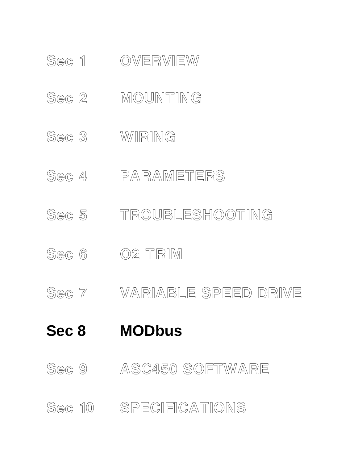## Sec 10 SPECIFICATIONS

Sec 9 ASC450 SOFTWARE

# **Sec 8 MODbus**

- Sec 7 VARIABLE SPEED DRIVE
- Sec 6 02 TRIM
- Sec 5 TROUBLESHOOTING
- Sec 4 PARAMETERS
- Sec 3 WIRING
- Sec 2 MOUNTING
- 

Sec 1 OVERVIEW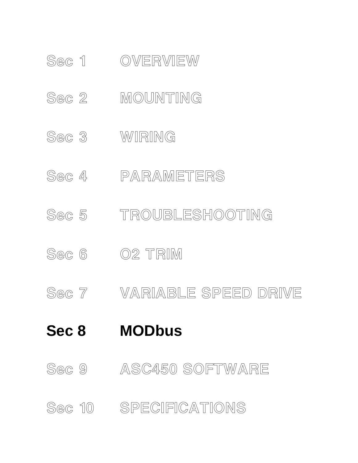## Sec 10 SPECIFICATIONS

Sec 9 ASC450 SOFTWARE

# **Sec 8 MODbus**

- Sec 7 VARIABLE SPEED DRIVE
- Sec 6 02 TRIM
- Sec 5 TROUBLESHOOTING
- Sec 4 PARAMETERS
- Sec 3 WIRING
- Sec 2 MOUNTING
- 

Sec 1 OVERVIEW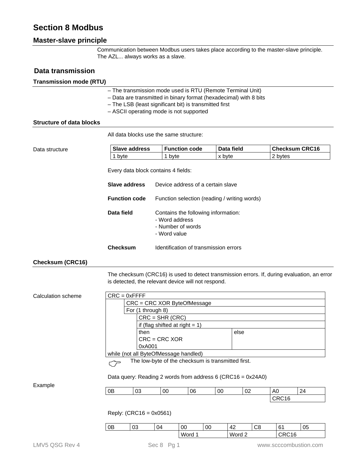## **Section 8 Modbus**

## **Master-slave principle**

Communication between Modbus users takes place according to the master-slave principle. The AZL... always works as a slave.

### **Data transmission**

#### **Transmission mode (RTU)**

| - The transmission mode used is RTU (Remote Terminal Unit)        |
|-------------------------------------------------------------------|
| - Data are transmitted in binary format (hexadecimal) with 8 bits |
| - The LSB (least significant bit) is transmitted first            |
| - ASCII operating mode is not supported                           |
|                                                                   |

#### **Structure of data blocks**

All data blocks use the same structure:

#### Data structure

| <b>Slave address</b> | <b>Function code</b> | Data field | <b>Checksum CRC16</b> |
|----------------------|----------------------|------------|-----------------------|
| 1 byte               | byte                 | x byte     | 2 bytes               |

Every data block contains 4 fields:

| Slave address        | Device address of a certain slave                                                          |
|----------------------|--------------------------------------------------------------------------------------------|
| <b>Function code</b> | Function selection (reading / writing words)                                               |
| Data field           | Contains the following information:<br>- Word address<br>- Number of words<br>- Word value |
| Checksum             | Identification of transmission errors                                                      |

### **Checksum (CRC16)**

The checksum (CRC16) is used to detect transmission errors. If, during evaluation, an error is detected, the relevant device will not respond.

| Calculation scheme |                                       | $CRC = 0xFFFF$ |                                                                                                                   |        |    |        |                |                |                       |  |  |  |  |
|--------------------|---------------------------------------|----------------|-------------------------------------------------------------------------------------------------------------------|--------|----|--------|----------------|----------------|-----------------------|--|--|--|--|
|                    |                                       |                | CRC = CRC XOR ByteOfMessage                                                                                       |        |    |        |                |                |                       |  |  |  |  |
|                    | For (1 through 8)                     |                |                                                                                                                   |        |    |        |                |                |                       |  |  |  |  |
|                    |                                       |                | $CRC = SHR (CRC)$                                                                                                 |        |    |        |                |                |                       |  |  |  |  |
|                    |                                       |                | if (flag shifted at right $= 1$ )                                                                                 |        |    |        |                |                |                       |  |  |  |  |
|                    |                                       | then           |                                                                                                                   |        |    | else   |                |                |                       |  |  |  |  |
|                    |                                       |                | $CRC = CRC XOR$                                                                                                   |        |    |        |                |                |                       |  |  |  |  |
|                    |                                       |                | 0xA001                                                                                                            |        |    |        |                |                |                       |  |  |  |  |
|                    | while (not all ByteOfMessage handled) |                |                                                                                                                   |        |    |        |                |                |                       |  |  |  |  |
|                    | $\widehat{C}$                         |                | The low-byte of the checksum is transmitted first.<br>Data query: Reading 2 words from address 6 (CRC16 = 0x24A0) |        |    |        |                |                |                       |  |  |  |  |
| Example            |                                       |                |                                                                                                                   |        |    |        |                |                |                       |  |  |  |  |
|                    | 0B                                    | 03             | 00                                                                                                                | 06     | 00 | 02     |                | A <sub>0</sub> | 24                    |  |  |  |  |
|                    |                                       |                |                                                                                                                   |        |    |        |                | CRC16          |                       |  |  |  |  |
|                    |                                       |                | Reply: $(CRC16 = 0x0561)$                                                                                         |        |    |        |                |                |                       |  |  |  |  |
|                    | 0B                                    | 03             | 04                                                                                                                | 00     | 00 | 42     | C <sub>8</sub> | 61             | 05                    |  |  |  |  |
|                    |                                       |                |                                                                                                                   | Word 1 |    | Word 2 |                | CRC16          |                       |  |  |  |  |
| LMV5 QSG Rev 4     |                                       |                | Sec 8 Pg 1                                                                                                        |        |    |        |                |                | www.scccombustion.com |  |  |  |  |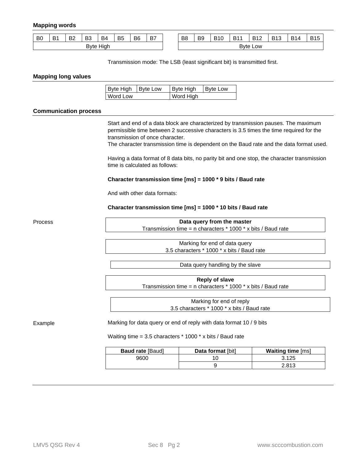#### **Mapping words**

| B <sub>0</sub> | D <sub>4</sub><br>D | פם<br>DZ | D.C<br>DJ | B <sub>4</sub> | B <sub>5</sub> | B <sub>6</sub> | D7<br>D. | B8 | B <sub>9</sub> | BAO<br>∽ | D <sub>44</sub><br>D | <b>B12</b><br>. . | <b>B13</b> | R14 | DAE<br>31 C<br>້ |
|----------------|---------------------|----------|-----------|----------------|----------------|----------------|----------|----|----------------|----------|----------------------|-------------------|------------|-----|------------------|
|                |                     |          | Bvte      | Hiah           |                |                |          |    |                |          |                      | <b>Byte Low</b>   |            |     |                  |

Transmission mode: The LSB (least significant bit) is transmitted first.

#### **Mapping long values**

| Byte High   Byte Low | Byte High | Byte Low |
|----------------------|-----------|----------|
| Word Low             | Word High |          |

#### **Communication process**

Start and end of a data block are characterized by transmission pauses. The maximum permissible time between 2 successive characters is 3.5 times the time required for the transmission of once character.

The character transmission time is dependent on the Baud rate and the data format used.

Having a data format of 8 data bits, no parity bit and one stop, the character transmission time is calculated as follows:

#### **Character transmission time [ms] = 1000 \* 9 bits / Baud rate**

And with other data formats:

**Character transmission time [ms] = 1000 \* 10 bits / Baud rate** 

Process

**Data query from the master**  Transmission time = n characters  $*$  1000  $*$  x bits / Baud rate

> Marking for end of data query 3.5 characters \* 1000 \* x bits / Baud rate

> > Data query handling by the slave

**Reply of slave**  Transmission time = n characters  $*$  1000  $*$  x bits / Baud rate

> Marking for end of reply 3.5 characters \* 1000 \* x bits / Baud rate

Example

Marking for data query or end of reply with data format 10 / 9 bits

Waiting time = 3.5 characters \* 1000 \* x bits / Baud rate

| <b>Baud rate [Baud]</b> | Data format [bit] | <b>Waiting time</b> [ms] |
|-------------------------|-------------------|--------------------------|
| 9600                    |                   | 3.125                    |
|                         |                   | 2.813                    |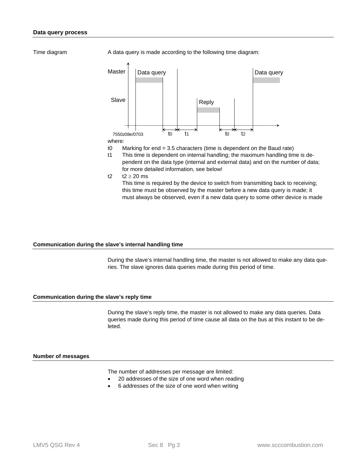Time diagram

A data query is made according to the following time diagram:





- t0 Marking for end = 3.5 characters (time is dependent on the Baud rate)
- t1 This time is dependent on internal handling; the maximum handling time is dependent on the data type (internal and external data) and on the number of data; for more detailed information, see below!

t2  $t2 \geq 20$  ms

This time is required by the device to switch from transmitting back to receiving; this time must be observed by the master before a new data query is made; it must always be observed, even if a new data query to some other device is made

#### **Communication during the slave's internal handling time**

During the slave's internal handling time, the master is not allowed to make any data queries. The slave ignores data queries made during this period of time.

#### **Communication during the slave's reply time**

During the slave's reply time, the master is not allowed to make any data queries. Data queries made during this period of time cause all data on the bus at this instant to be deleted.

#### **Number of messages**

The number of addresses per message are limited:

- 20 addresses of the size of one word when reading
- 6 addresses of the size of one word when writing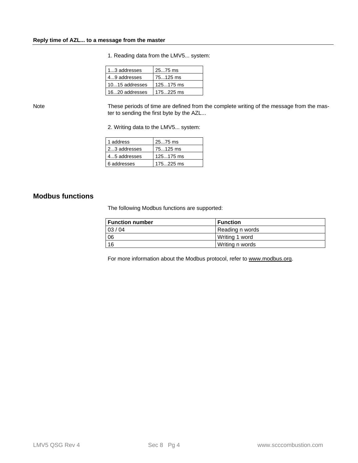| 13 addresses   | 2575 ms     |
|----------------|-------------|
| 49 addresses   | 75125 ms    |
| 1015 addresses | $125175$ ms |
| 1620 addresses | $175225$ ms |

1. Reading data from the LMV5... system:

Note

These periods of time are defined from the complete writing of the message from the master to sending the first byte by the AZL...

2. Writing data to the LMV5... system:

| 1 address    | 2575 ms     |
|--------------|-------------|
| 23 addresses | 75125 ms    |
| 45 addresses | $125175$ ms |
| 6 addresses  | 175225 ms   |

### **Modbus functions**

The following Modbus functions are supported:

| <b>Function number</b> | <b>Function</b>   |
|------------------------|-------------------|
| 03/04                  | Reading n words   |
| 06                     | l Writina 1 word  |
| 16                     | l Writing n words |

For more information about the Modbus protocol, refer to www.modbus.org.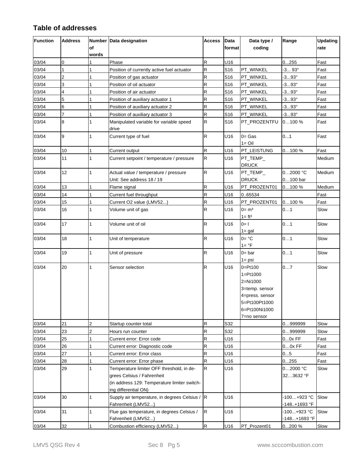## **Table of addresses**

| Function<br><b>Address</b><br><b>Number Data designation</b> |                | Access       | <b>Data</b>                                                                                                                                     | Data type /  | Range           | <b>Updating</b>                                                                                                               |                             |        |
|--------------------------------------------------------------|----------------|--------------|-------------------------------------------------------------------------------------------------------------------------------------------------|--------------|-----------------|-------------------------------------------------------------------------------------------------------------------------------|-----------------------------|--------|
|                                                              |                | of<br>words  |                                                                                                                                                 |              | format          | coding                                                                                                                        |                             | rate   |
| 03/04                                                        | 0              |              | Phase                                                                                                                                           | ${\sf R}$    | U16             |                                                                                                                               | 0255                        | Fast   |
| 03/04                                                        | $\mathbf{1}$   | $\mathbf{1}$ | Position of currently active fuel actuator                                                                                                      | R            | S <sub>16</sub> | PT_WINKEL                                                                                                                     | 393°                        | Fast   |
| 03/04                                                        | $\overline{c}$ | 1            | Position of gas actuator                                                                                                                        | R            | S <sub>16</sub> | PT_WINKEL                                                                                                                     | $-393°$                     | Fast   |
| 03/04                                                        | 3              | 1            | Position of oil actuator                                                                                                                        | R            | S <sub>16</sub> | PT_WINKEL                                                                                                                     | $-393°$                     | Fast   |
| 03/04                                                        | 4              | 1            | Position of air actuator                                                                                                                        | R            | S <sub>16</sub> | PT_WINKEL                                                                                                                     | $-393°$                     | Fast   |
| 03/04                                                        | 5              | $\mathbf{1}$ | Position of auxiliary actuator 1                                                                                                                | R            | S <sub>16</sub> | PT_WINKEL                                                                                                                     | $-393^{\circ}$              | Fast   |
| 03/04                                                        | 6              | 1            | Position of auxiliary actuator 2                                                                                                                | R            | S <sub>16</sub> | PT_WINKEL                                                                                                                     | $-393°$                     | Fast   |
| 03/04                                                        | 7              | $\mathbf{1}$ | Position of auxiliary actuator 3                                                                                                                | R            | S <sub>16</sub> | PT_WINKEL                                                                                                                     | $-393°$                     | Fast   |
| 03/04                                                        | 8              | $\mathbf{1}$ | Manipulated variable for variable speed<br>drive                                                                                                | R            | S16             | PT_PROZENTFU                                                                                                                  | 0100%                       | Fast   |
| 03/04                                                        | 9              | 1            | Current type of fuel                                                                                                                            | R            | U16             | $0 = Gas$<br>$1 =$ Oil                                                                                                        | 01                          | Fast   |
| 03/04                                                        | 10             | 1            | Current output                                                                                                                                  | R            | U16             | PT_LEISTUNG                                                                                                                   | 0100%                       | Fast   |
| 03/04                                                        | 11             | $\mathbf{1}$ | Current setpoint / temperature / pressure                                                                                                       | $\mathsf{R}$ | U16             | $PT_TEMP$<br><b>DRUCK</b>                                                                                                     |                             | Medium |
| 03/04                                                        | 12             | $\mathbf{1}$ | Actual value / temperature / pressure<br>Unit: See address 18 / 19                                                                              | ${\sf R}$    | U16             | $PT_TEMP_$<br><b>DRUCK</b>                                                                                                    | 02000 °C<br>0100 bar        | Medium |
| 03/04                                                        | 13             | $\mathbf{1}$ | Flame signal                                                                                                                                    | R            | U16             | PT_PROZENT01                                                                                                                  | 0100%                       | Medium |
| 03/04                                                        | 14             | 1            | Current fuel throughput                                                                                                                         | R            | U16             | 065534                                                                                                                        |                             | Fast   |
| 03/04                                                        | 15             | $\mathbf{1}$ | Current O2 value (LMV52)                                                                                                                        | R            | U16             | PT_PROZENT01                                                                                                                  | 0100%                       | Fast   |
| 03/04                                                        | 16             | $\mathbf{1}$ | Volume unit of gas                                                                                                                              | R            | U16             | $0 = m3$<br>$1 = ft3$                                                                                                         | 01                          | Slow   |
| 03/04                                                        | 17             | 1            | Volume unit of oil                                                                                                                              | R            | U16             | $0=1$<br>$1 = gal$                                                                                                            | 01                          | Slow   |
| 03/04                                                        | 18             | $\mathbf{1}$ | Unit of temperature                                                                                                                             | R            | U16             | $0 = \degree C$<br>$1 = \circ F$                                                                                              | 01                          | Slow   |
| 03/04                                                        | 19             | 1            | Unit of pressure                                                                                                                                | R            | U16             | $0 = bar$<br>$1 = psi$                                                                                                        | 01                          | Slow   |
| 03/04                                                        | 20             | $\mathbf{1}$ | Sensor selection                                                                                                                                | ${\sf R}$    | U16             | $0 = Pt100$<br>$1 = Pt1000$<br>2=Ni1000<br>3=temp. sensor<br>4=press. sensor<br>5=Pt100Pt1000<br>6=Pt100Ni1000<br>7=no sensor | 07                          | Slow   |
| 03/04                                                        | 21             | 2            | Startup counter total                                                                                                                           | ${\sf R}$    | S32             |                                                                                                                               | 0999999                     | Slow   |
| 03/04                                                        | 23             | 2            | Hours run counter                                                                                                                               | R            | S32             |                                                                                                                               | 09999999                    | Slow   |
| 03/04                                                        | 25             | 1            | Current error: Error code                                                                                                                       | R            | U16             |                                                                                                                               | $00x$ FF                    | Fast   |
| 03/04                                                        | 26             |              | Current error: Diagnostic code                                                                                                                  | R            | U16             |                                                                                                                               | $00x$ FF                    | Fast   |
| 03/04                                                        | 27             | 1            | Current error: Error class                                                                                                                      | R            | U16             |                                                                                                                               | 05                          | Fast   |
| 03/04                                                        | 28             | 1            | Current error: Error phase                                                                                                                      | R            | U16             |                                                                                                                               | 0255                        | Fast   |
| 03/04                                                        | 29             | 1            | Temperature limiter OFF threshold, in de-<br>grees Celsius / Fahrenheit<br>(in address 129: Temperature limiter switch-<br>ing differential ON) | R            | U16             |                                                                                                                               | 02000 °C<br>323632 °F       | Slow   |
| 03/04                                                        | 30             | $\mathbf{1}$ | Supply air temperature, in degrees Celsius / R<br>Fahrenheit (LMV52)                                                                            |              | U16             |                                                                                                                               | -100+923 °C<br>-148+1693 °F | Slow   |
| 03/04                                                        | 31             | $\mathbf{1}$ | Flue gas temperature, in degrees Celsius /<br>Fahrenheit (LMV52)                                                                                | $\mathsf{R}$ | U16             |                                                                                                                               | -100+923 °C<br>-148+1693 °F | Slow   |
| 03/04                                                        | 32             | $\mathbf{1}$ | Combustion efficiency (LMV52)                                                                                                                   | $\mathsf R$  | U16             | PT_Prozent01                                                                                                                  | 0200 %                      | Slow   |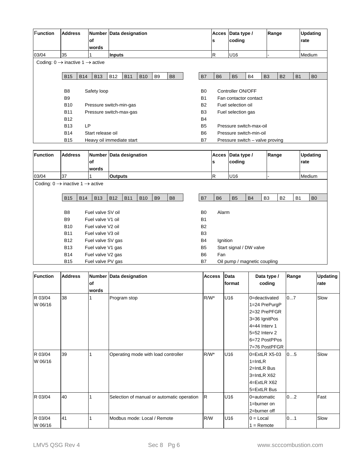| <b>Function</b>                                         | <b>Address</b> | of         | Number Data designation<br>words |                |            |            |                |                |                | <b>Acces</b><br>s       | Data type /<br>coding |                                 |                | Range     |           |      | <b>Updating</b><br>rate |  |  |  |
|---------------------------------------------------------|----------------|------------|----------------------------------|----------------|------------|------------|----------------|----------------|----------------|-------------------------|-----------------------|---------------------------------|----------------|-----------|-----------|------|-------------------------|--|--|--|
| 03/04                                                   | 35             |            |                                  | <b>Inputs</b>  |            |            |                |                |                | $\overline{\mathsf{R}}$ | U16                   |                                 |                | Medium    |           |      |                         |  |  |  |
| Coding: $0 \rightarrow$ inactive $1 \rightarrow$ active |                |            |                                  |                |            |            |                |                |                |                         |                       |                                 |                |           |           |      |                         |  |  |  |
|                                                         | <b>B15</b>     | <b>B14</b> | <b>B13</b>                       | <b>B12</b>     | <b>B11</b> | <b>B10</b> | B <sub>9</sub> | B <sub>8</sub> | B7             | <b>B6</b>               | <b>B5</b>             | <b>B4</b>                       | B <sub>3</sub> | <b>B2</b> | <b>B1</b> |      | B <sub>0</sub>          |  |  |  |
|                                                         |                |            |                                  |                |            |            |                |                |                |                         |                       |                                 |                |           |           |      |                         |  |  |  |
|                                                         | B <sub>8</sub> |            | Safety loop                      |                |            |            |                |                | B <sub>0</sub> |                         | Controller ON/OFF     |                                 |                |           |           |      |                         |  |  |  |
|                                                         | B <sub>9</sub> |            |                                  |                |            |            |                |                | <b>B1</b>      |                         |                       | Fan contactor contact           |                |           |           |      |                         |  |  |  |
|                                                         | <b>B10</b>     |            | Pressure switch-min-gas          |                |            |            |                |                | <b>B2</b>      |                         | Fuel selection oil    |                                 |                |           |           |      |                         |  |  |  |
|                                                         | <b>B11</b>     |            | Pressure switch-max-gas          |                |            |            |                |                | B <sub>3</sub> |                         | Fuel selection gas    |                                 |                |           |           |      |                         |  |  |  |
|                                                         | <b>B12</b>     |            |                                  |                |            |            |                |                | <b>B4</b>      |                         |                       |                                 |                |           |           |      |                         |  |  |  |
|                                                         | <b>B13</b>     | <b>LP</b>  |                                  |                |            |            |                |                | <b>B5</b>      |                         |                       | Pressure switch-max-oil         |                |           |           |      |                         |  |  |  |
|                                                         | <b>B14</b>     |            | Start release oil                |                |            |            |                |                | B <sub>6</sub> |                         |                       | Pressure switch-min-oil         |                |           |           |      |                         |  |  |  |
|                                                         | <b>B15</b>     |            | Heavy oil immediate start        |                |            |            |                |                | <b>B7</b>      |                         |                       | Pressure switch - valve proving |                |           |           |      |                         |  |  |  |
|                                                         |                |            |                                  |                |            |            |                |                |                |                         |                       |                                 |                |           |           |      |                         |  |  |  |
| <b>Function</b>                                         | <b>Address</b> |            | Number Data designation          |                |            |            |                |                |                | <b>Acces</b>            | Data type /           |                                 | Range          |           |           |      | <b>Updating</b>         |  |  |  |
|                                                         |                | of         |                                  |                |            |            |                |                |                | $\mathbf{s}$            | coding                |                                 |                |           |           | rate |                         |  |  |  |
|                                                         |                |            | words                            |                |            |            |                |                |                |                         |                       |                                 |                |           |           |      |                         |  |  |  |
| 03/04                                                   | 37             | 1          |                                  | <b>Outputs</b> |            |            |                |                |                | $\overline{\mathsf{R}}$ | U16                   |                                 |                |           |           |      | Medium                  |  |  |  |
| Coding: $0 \rightarrow$ inactive 1 $\rightarrow$ active |                |            |                                  |                |            |            |                |                |                |                         |                       |                                 |                |           |           |      |                         |  |  |  |
|                                                         | <b>B15</b>     | <b>B14</b> | <b>B13</b>                       | <b>B12</b>     | <b>B11</b> | <b>B10</b> | B <sub>9</sub> | B <sub>8</sub> | <b>B7</b>      | <b>B6</b>               | <b>B5</b>             | <b>B4</b>                       | B <sub>3</sub> | <b>B2</b> | <b>B1</b> |      | B <sub>0</sub>          |  |  |  |
|                                                         |                |            |                                  |                |            |            |                |                |                |                         |                       |                                 |                |           |           |      |                         |  |  |  |
|                                                         | B <sub>8</sub> |            | Fuel valve SV oil                |                |            |            |                |                | B <sub>0</sub> | Alarm                   |                       |                                 |                |           |           |      |                         |  |  |  |
|                                                         | B <sub>9</sub> |            | Fuel valve V1 oil                |                |            |            |                |                | <b>B1</b>      |                         |                       |                                 |                |           |           |      |                         |  |  |  |
|                                                         | <b>B10</b>     |            | Fuel valve V2 oil                |                |            |            |                |                | <b>B2</b>      |                         |                       |                                 |                |           |           |      |                         |  |  |  |
|                                                         | <b>B11</b>     |            | Fuel valve V3 oil                |                |            |            |                |                | B <sub>3</sub> |                         |                       |                                 |                |           |           |      |                         |  |  |  |
|                                                         | <b>B12</b>     |            | Fuel valve SV gas                |                |            |            |                |                | <b>B4</b>      | Ignition                |                       |                                 |                |           |           |      |                         |  |  |  |
|                                                         | <b>B13</b>     |            | Fuel valve V1 gas                |                |            |            |                |                | B <sub>5</sub> |                         |                       | Start signal / DW valve         |                |           |           |      |                         |  |  |  |
|                                                         | <b>B14</b>     |            | Fuel valve V2 gas                |                |            |            |                |                | <b>B6</b>      | Fan                     |                       |                                 |                |           |           |      |                         |  |  |  |
|                                                         | <b>B15</b>     |            | Fuel valve PV gas                |                |            |            |                |                | B7             |                         |                       |                                 |                |           |           |      |                         |  |  |  |

| Function           | <b>Address</b> | of<br>words | Number Data designation                    | <b>Access</b> | Data<br>lformat | Data type /<br>coding                                                                                                                   | Range | <b>Updating</b><br>rate |
|--------------------|----------------|-------------|--------------------------------------------|---------------|-----------------|-----------------------------------------------------------------------------------------------------------------------------------------|-------|-------------------------|
| R 03/04<br>W 06/16 | 38             |             | Program stop                               | $R/W^*$       | U16             | 0=deactivated<br>1=24 PrePurgP<br>2=32 PrePFGR<br>3=36 IgnitPos<br>$4=44$ Interv 1<br>$5=52$ Interv 2<br>6=72 PostPPos<br>7=76 PostPFGR | 07    | Slow                    |
| R 03/04<br>W 06/16 | 39             |             | Operating mode with load controller        | $R/W^*$       | U16             | $0 = ExtLR X5-03$<br>$1 = IntLR$<br>2=IntLR Bus<br>3=IntLR X62<br>4=ExtLR X62<br>5=ExtLR Bus                                            | 05    | Slow                    |
| R 03/04            | 40             |             | Selection of manual or automatic operation | R             | U16             | 0=automatic<br>1=burner on<br>2=burner off                                                                                              | 02    | Fast                    |
| R 03/04<br>W 06/16 | 41             |             | Modbus mode: Local / Remote                | R/W           | U16             | $0 =$ Local<br>$1 =$ Remote                                                                                                             | 01    | Slow                    |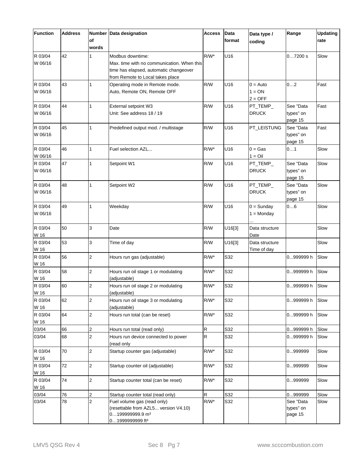| Function           | <b>Address</b> | Number<br>of<br>words | Data designation                                                                                                                             |         | Data<br>format | Data type /<br>coding               | Range                             | <b>Updating</b><br>rate |
|--------------------|----------------|-----------------------|----------------------------------------------------------------------------------------------------------------------------------------------|---------|----------------|-------------------------------------|-----------------------------------|-------------------------|
| R 03/04<br>W 06/16 | 42             | $\mathbf{1}$          | Modbus downtime:<br>Max. time with no communication. When this<br>time has elapsed, automatic changeover<br>from Remote to Local takes place | $R/W^*$ | U16            |                                     | 07200 s                           | Slow                    |
| R 03/04<br>W 06/16 | 43             | $\mathbf{1}$          | Operating mode in Remote mode.<br>Auto, Remote ON, Remote OFF                                                                                | R/W     | U16            | $0 =$ Auto<br>$1 = ON$<br>$2 = OFF$ | 02                                | Fast                    |
| R 03/04<br>W 06/16 | 44             | $\mathbf{1}$          | External setpoint W3<br>Unit: See address 18 / 19                                                                                            | R/W     | U16            | PT_TEMP_<br><b>DRUCK</b>            | See "Data<br>types" on<br>page 15 | Fast                    |
| R 03/04<br>W 06/16 | 45             | $\mathbf{1}$          | Predefined output mod. / multistage                                                                                                          | R/W     | U16            | PT_LEISTUNG                         | See "Data<br>types" on<br>page 15 | Fast                    |
| R 03/04<br>W 06/16 | 46             | $\mathbf{1}$          | Fuel selection AZL                                                                                                                           | $R/W^*$ | U16            | $0 = Gas$<br>$1 = Oil$              | 01                                | Slow                    |
| R 03/04<br>W 06/16 | 47             | $\mathbf{1}$          | Setpoint W1                                                                                                                                  | R/W     | U16            | PT_TEMP_<br><b>DRUCK</b>            | See "Data<br>types" on<br>page 15 | Slow                    |
| R 03/04<br>W 06/16 | 48             | $\mathbf{1}$          | Setpoint W2                                                                                                                                  | R/W     | U16            | PT_TEMP_<br><b>DRUCK</b>            | See "Data<br>types" on<br>page 15 | Slow                    |
| R 03/04<br>W 06/16 | 49             | $\mathbf{1}$          | Weekday                                                                                                                                      | R/W     | U16            | $0 =$ Sunday<br>$1 =$ Monday        | 06                                | Slow                    |
| R 03/04<br>W 16    | 50             | 3                     | Date                                                                                                                                         | R/W     | U16[3]         | Data structure<br>Date              |                                   | Slow                    |
| R 03/04<br>W 16    | 53             | 3                     | Time of day                                                                                                                                  | R/W     | U16[3]         | Data structure<br>Time of day       |                                   | Slow                    |
| R 03/04<br>W 16    | 56             | 2                     | Hours run gas (adjustable)                                                                                                                   | $R/W^*$ | S32            |                                     | 0999999 h                         | Slow                    |
| R 03/04<br>W 16    | 58             | 2                     | Hours run oil stage 1 or modulating<br>(adjustable)                                                                                          | $R/W^*$ | S32            |                                     | 0999999 h                         | Slow                    |
| R 03/04<br>W 16    | 60             | 2                     | Hours run oil stage 2 or modulating<br>(adjustable)                                                                                          | $R/W^*$ | S32            |                                     | 0999999 h                         | Slow                    |
| R 03/04<br>W 16    | 62             | $\overline{2}$        | Hours run oil stage 3 or modulating<br>(adjustable)                                                                                          | $R/W^*$ | S32            |                                     | 0999999 h                         | Slow                    |
| R 03/04<br>W 16    | 64             | $\overline{c}$        | Hours run total (can be reset)                                                                                                               | $R/W^*$ | S32            |                                     | 0999999 h                         | Slow                    |
| 03/04              | 66             | $\overline{c}$        | Hours run total (read only)                                                                                                                  | R       | S32            |                                     | 0999999 h                         | Slow                    |
| 03/04              | 68             | $\overline{c}$        | Hours run device connected to power<br>(read only                                                                                            | R       | S32            |                                     | 0999999 h                         | Slow                    |
| R 03/04<br>W 16    | 70             | $\overline{c}$        | Startup counter gas (adjustable)                                                                                                             | $R/W^*$ | S32            |                                     | 0999999                           | Slow                    |
| R 03/04<br>W 16    | 72             | $\overline{c}$        | Startup counter oil (adjustable)                                                                                                             | $R/W^*$ | S32            |                                     | 0999999                           | Slow                    |
| R 03/04<br>W 16    | 74             | 2                     | Startup counter total (can be reset)                                                                                                         | $R/W^*$ | S32            |                                     | 0999999                           | Slow                    |
| 03/04              | 76             | $\overline{c}$        | Startup counter total (read only)                                                                                                            | R       | S32            |                                     | 0999999                           | Slow                    |
| 03/04              | 78             | 2                     | Fuel volume gas (read only)<br>(resettable from AZL5 version V4.10)<br>0199999999.9 m <sup>3</sup><br>01999999999 ft <sup>3</sup>            | $R/W^*$ | S32            |                                     | See "Data<br>types" on<br>page 15 | Slow                    |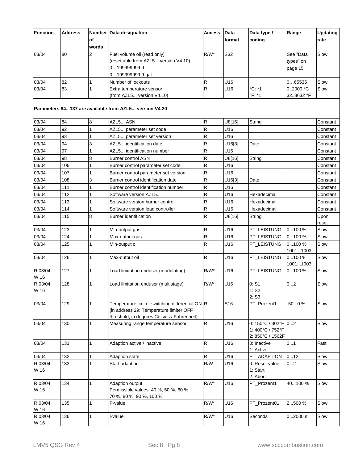| <b>Function</b>         | <b>Address</b> | <b>Number</b>  | Data designation                                                                                                                          | <b>Access</b>      | <b>Data</b> | Data type /                                                 | Range             | <b>Updating</b> |
|-------------------------|----------------|----------------|-------------------------------------------------------------------------------------------------------------------------------------------|--------------------|-------------|-------------------------------------------------------------|-------------------|-----------------|
|                         |                | οf<br>words    |                                                                                                                                           |                    | format      | coding                                                      |                   | rate            |
| 03/04                   | 80             | $\overline{2}$ | Fuel volume oil (read only)                                                                                                               | $R/W^*$            | S32         |                                                             | See "Data         | Slow            |
|                         |                |                | (resettable from AZL5 version V4.10)                                                                                                      |                    |             |                                                             | types" on         |                 |
|                         |                |                | 0199999999.9 l                                                                                                                            |                    |             |                                                             | page 15           |                 |
|                         |                |                | 0199999999.9 gal                                                                                                                          |                    |             |                                                             |                   |                 |
| 03/04                   | 82             |                | Number of lockouts                                                                                                                        | R                  | U16         |                                                             | 065535            | Slow            |
| 03/04                   | 83             | 1              | Extra temperature sensor                                                                                                                  | R                  | U16         | °C: *1                                                      | 0.2000 °C         | Slow            |
|                         |                |                | (from AZL5 version V4.10)                                                                                                                 |                    |             | °F: *1                                                      | 323632 °F         |                 |
|                         |                |                | Parameters 84137 are available from AZL5 version V4.20                                                                                    |                    |             |                                                             |                   |                 |
| 03/04                   | 84             | 8              | AZL5 ASN                                                                                                                                  | ${\sf R}$          | U8[16]      | String                                                      |                   | Constant        |
| 03/04                   | 92             | 1              | AZL5 parameter set code                                                                                                                   | R                  | U16         |                                                             |                   | Constant        |
| 03/04                   | 93             | 1              | AZL5 parameter set version                                                                                                                | R                  | U16         |                                                             |                   | Constant        |
| 03/04                   | 94             | 3              | AZL5 identification date                                                                                                                  | R                  | U16[3]      | Date                                                        |                   | Constant        |
| 03/04                   | 97             | 1              | AZL5 identification number                                                                                                                | R                  | U16         |                                                             |                   | Constant        |
| 03/04                   | 98             | 8              | <b>Burner control ASN</b>                                                                                                                 | R                  | U8[16]      | String                                                      |                   | Constant        |
| 03/04                   | 106            | 1              | Burner control parameter set code                                                                                                         | R                  | U16         |                                                             |                   | Constant        |
| 03/04                   | 107            | 1              | Burner control parameter set version                                                                                                      | R                  | U16         |                                                             |                   | Constant        |
| 03/04                   | 108            | 3              | Burner control identification date                                                                                                        | R                  | U16[3]      | Date                                                        |                   | Constant        |
| 03/04                   | 111            |                | Burner control identification number                                                                                                      | R                  | U16         |                                                             |                   | Constant        |
| 03/04                   | 112            |                | Software version AZL5                                                                                                                     | R                  | U16         | Hexadecimal                                                 |                   | Constant        |
| 03/04                   | 113            | 1              | Software version burner control                                                                                                           | R                  | U16         | Hexadecimal                                                 |                   | Constant        |
| 03/04                   | 114            | 1              | Software version load controller                                                                                                          | R                  | U16         | Hexadecimal                                                 |                   | Constant        |
| 03/04                   | 115            | 8              | <b>Burner identification</b>                                                                                                              | R                  | U8[16]      | String                                                      |                   | Upon            |
|                         |                |                |                                                                                                                                           |                    |             |                                                             |                   | reset           |
| 03/04                   | 123            |                | Min-output gas                                                                                                                            | R                  | U16         | PT LEISTUNG                                                 | 0100%             | Slow            |
| 03/04                   | 124            | 1              | Max-output gas                                                                                                                            | R                  | U16         | PT_LEISTUNG                                                 | 0100%             | Slow            |
| 03/04                   | 125            | 1              | Min-output oil                                                                                                                            | R                  | U16         | PT_LEISTUNG                                                 | 0100%<br>10011003 | Slow            |
| 03/04                   | 126            | 1              | Max-output oil                                                                                                                            | $\mathsf R$        | U16         | PT_LEISTUNG                                                 | 0100%<br>10011003 | Slow            |
| R 03/04<br>W 16         | 127            | 1              | Load limitation enduser (modulating)                                                                                                      | $R/W^*$            | U16         | PT_LEISTUNG                                                 | 0100%             | Slow            |
| R 03/04                 | 128            |                | Load limitation enduser (multistage)                                                                                                      | $R/W^*$            | U16         | 0: S1                                                       | 02                | Slow            |
| W 16                    |                |                |                                                                                                                                           |                    |             | $1:$ S <sub>2</sub>                                         |                   |                 |
|                         |                |                |                                                                                                                                           |                    |             | 2: S3                                                       |                   |                 |
| 03/04                   | 129            | $\mathbf{1}$   | Temperature limiter switching differential ON R<br>(in address 29: Temperature limiter OFF<br>threshold, in degrees Celsius / Fahrenheit) |                    | S16         | PT_Prozent1                                                 | $-500%$           | Slow            |
| 03/04                   | 130            | 1              | Measuring range temperature sensor                                                                                                        | ${\sf R}$          | U16         | 0: 150°C / 302°F 02<br>1: 400°C / 752°F<br>2: 850°C / 1562F |                   | Slow            |
| 03/04                   | 131            | $\mathbf{1}$   | Adaption active / inactive                                                                                                                | $\mathsf R$        | U16         | 0: Inactive<br>1: Active                                    | 01                | Fast            |
| 03/04                   | 132            | 1              | <b>Adaption state</b>                                                                                                                     | $\mathsf{R}% _{T}$ | U16         | PT_ADAPTION                                                 | 012               | Slow            |
| R 03/04                 | 133            | $\mathbf{1}$   | Start adaption                                                                                                                            | R/W                | U16         | 0: Reset value                                              | 02                | Slow            |
| W 16                    |                |                |                                                                                                                                           |                    |             | 1: Start<br>2: Abort                                        |                   |                 |
| R 03/04<br>W 16         | 134            | $\mathbf{1}$   | Adaption output<br>Permissible values: 40 %, 50 %, 60 %,<br>70 %, 80 %, 90 %, 100 %                                                       | $R/W^*$            | U16         | PT_Prozent1                                                 | 40100 %           | Slow            |
| R 03/04                 | 135            | 1              | P-value                                                                                                                                   | $R/W^*$            | U16         | PT Prozent01                                                | 2500 %            | Slow            |
| W 16<br>R 03/04<br>W 16 | 136            | 1              | I-value                                                                                                                                   | $R/W^*$            | U16         | Seconds                                                     | 02000 s           | Slow            |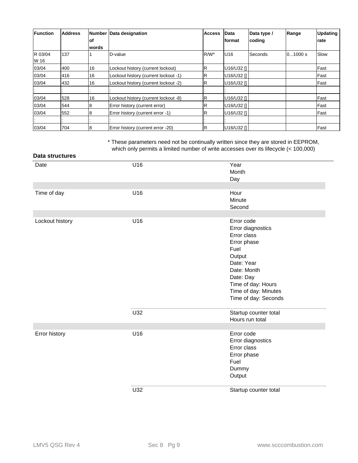| <b>Function</b> | <b>Address</b> | lof   | Number Data designation              | <b>Access</b> | Data<br>lformat | Data type /<br>coding | Range   | <b>Updating</b><br><b>rate</b> |
|-----------------|----------------|-------|--------------------------------------|---------------|-----------------|-----------------------|---------|--------------------------------|
|                 |                | words |                                      |               |                 |                       |         |                                |
| R 03/04<br>W 16 | 137            |       | D-value                              | $R/W^*$       | U <sub>16</sub> | Seconds               | 01000 s | Slow                           |
| 03/04           | 400            | 16    | Lockout history (current lockout)    | lR.           | U16/U32 []      |                       |         | Fast                           |
| 03/04           | 416            | 16    | Lockout history (current lockout -1) | R             | U16/U32 []      |                       |         | Fast                           |
| 03/04           | 432            | 16    | Lockout history (current lockout -2) | $\mathsf R$   | U16/U32 []      |                       |         | Fast                           |
|                 |                |       |                                      |               |                 |                       |         |                                |
| 03/04           | 528            | 16    | Lockout history (current lockout -8) | R             | U16/U32 []      |                       |         | Fast                           |
| 03/04           | 544            | 8     | Error history (current error)        | R             | U16/U32 []      |                       |         | Fast                           |
| 03/04           | 552            | 8     | Error history (current error -1)     | lR.           | U16/U32 []      |                       |         | Fast                           |
|                 |                |       |                                      |               |                 |                       |         |                                |
| 03/04           | 704            | 8     | Error history (current error -20)    | R.            | U16/U32 II      |                       |         | Fast                           |

\* These parameters need not be continually written since they are stored in EEPROM, which only permits a limited number of write accesses over its lifecycle (< 100,000)

| Data structures |     |                                                                                                                                                                                                 |
|-----------------|-----|-------------------------------------------------------------------------------------------------------------------------------------------------------------------------------------------------|
| Date            | U16 | Year<br>Month<br>Day                                                                                                                                                                            |
|                 |     |                                                                                                                                                                                                 |
| Time of day     | U16 | Hour<br>Minute<br>Second                                                                                                                                                                        |
|                 |     |                                                                                                                                                                                                 |
| Lockout history | U16 | Error code<br>Error diagnostics<br>Error class<br>Error phase<br>Fuel<br>Output<br>Date: Year<br>Date: Month<br>Date: Day<br>Time of day: Hours<br>Time of day: Minutes<br>Time of day: Seconds |
|                 | U32 | Startup counter total<br>Hours run total                                                                                                                                                        |
|                 |     |                                                                                                                                                                                                 |
| Error history   | U16 | Error code<br>Error diagnostics<br>Error class<br>Error phase<br>Fuel<br>Dummy<br>Output                                                                                                        |
|                 | U32 | Startup counter total                                                                                                                                                                           |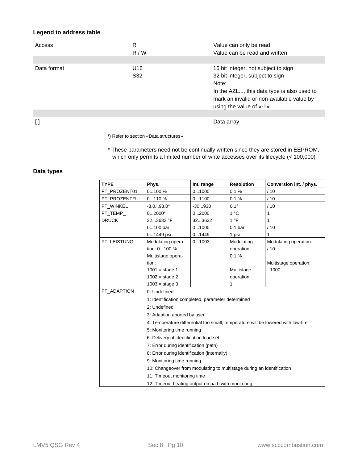### **Legend to address table**

| Access      | R<br>R/W               | Value can only be read<br>Value can be read and written                                                                                                                                               |
|-------------|------------------------|-------------------------------------------------------------------------------------------------------------------------------------------------------------------------------------------------------|
|             |                        |                                                                                                                                                                                                       |
| Data format | U16<br>S <sub>32</sub> | 16 bit integer, not subject to sign<br>32 bit integer, subject to sign<br>Note:<br>In the AZL, this data type is also used to<br>mark an invalid or non-available value by<br>using the value of «-1» |
|             |                        |                                                                                                                                                                                                       |
|             |                        | Data array                                                                                                                                                                                            |

<sup>1</sup>) Refer to section «Data structures»

\* These parameters need not be continually written since they are stored in EEPROM, which only permits a limited number of write accesses over its lifecycle (< 100,000)

#### **Data types**

| <b>TYPE</b>  | Phys.                                                                 | Int. range | <b>Resolution</b>  | Conversion int. / phys.                                                          |
|--------------|-----------------------------------------------------------------------|------------|--------------------|----------------------------------------------------------------------------------|
| PT_PROZENT01 | 0100%                                                                 | 01000      | 0.1%               | /10                                                                              |
| PT PROZENTFU | 0110%                                                                 | 01100      | 0.1%               | /10                                                                              |
| PT WINKEL    | $-3.093.0^{\circ}$                                                    | $-30930$   | $0.1^\circ$        | /10                                                                              |
| PT TEMP      | $02000^{\circ}$                                                       | 02000      | $1^{\circ}$ C      | 1                                                                                |
| <b>DRUCK</b> | 323632 °F                                                             | 323632     | 1 °F               | 1                                                                                |
|              | $0100$ bar                                                            | 01000      | 0.1 <sub>bar</sub> | /10                                                                              |
|              | 01449 psi                                                             | 01449      | 1 psi              | 1                                                                                |
| PT LEISTUNG  | Modulating opera-                                                     | 01003      | Modulating         | Modulating operation:                                                            |
|              | tion: 0100 %                                                          |            | operation:         | /10                                                                              |
|              | Multistage opera-                                                     |            | 0.1%               |                                                                                  |
|              | tion:                                                                 |            |                    | Multistage operation:                                                            |
|              | $1001 =$ stage 1                                                      |            | Multistage         | $-1000$                                                                          |
|              | $1002 = \text{stage } 2$                                              |            | operation:         |                                                                                  |
|              | $1003$ = stage 3                                                      |            |                    |                                                                                  |
| PT_ADAPTION  | 0: Undefined                                                          |            |                    |                                                                                  |
|              | 1: Identification completed, parameter determined                     |            |                    |                                                                                  |
|              | 2: Undefined                                                          |            |                    |                                                                                  |
|              | 3: Adaption aborted by user                                           |            |                    |                                                                                  |
|              |                                                                       |            |                    | 4: Temperature differential too small, temperature will be lowered with low-fire |
|              | 5: Monitoring time running                                            |            |                    |                                                                                  |
|              | 6: Delivery of identification load set                                |            |                    |                                                                                  |
|              | 7: Error during identification (path)                                 |            |                    |                                                                                  |
|              | 8: Error during identification (internally)                           |            |                    |                                                                                  |
|              | 9: Monitoring time running                                            |            |                    |                                                                                  |
|              | 10: Changeover from modulating to multistage during an identification |            |                    |                                                                                  |
|              | 11: Timeout monitoring time                                           |            |                    |                                                                                  |
|              | 12: Timeout heating output on path with monitoring                    |            |                    |                                                                                  |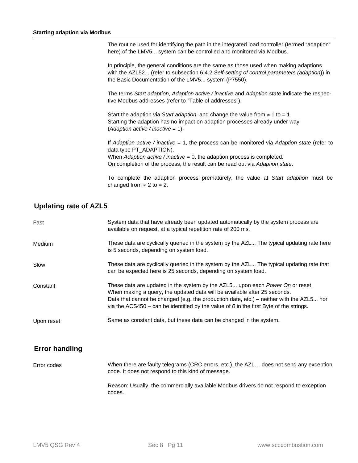#### **Starting adaption via Modbus**

The routine used for identifying the path in the integrated load controller (termed "adaption" here) of the LMV5... system can be controlled and monitored via Modbus.

In principle, the general conditions are the same as those used when making adaptions with the AZL52... (refer to subsection 6.4.2 *Self-setting of control parameters (adaption*)) in the Basic Documentation of the LMV5... system (P7550).

The terms *Start adaption*, *Adaption active / inactive* and *Adaption state* indicate the respective Modbus addresses (refer to "Table of addresses").

Start the adaption via *Start adaption* and change the value from  $\neq 1$  to = 1. Starting the adaption has no impact on adaption processes already under way (*Adaption active / inactive* = 1).

If *Adaption active / inactive* = 1, the process can be monitored via *Adaption state* (refer to data type PT\_ADAPTION). When *Adaption active / inactive* = 0, the adaption process is completed. On completion of the process, the result can be read out via *Adaption state*.

To complete the adaption process prematurely, the value at *Start adaption* must be changed from  $\neq 2$  to = 2.

## **Updating rate of AZL5**

| Fast       | System data that have already been updated automatically by the system process are<br>available on request, at a typical repetition rate of 200 ms.                                                                                                                                                                                                     |
|------------|---------------------------------------------------------------------------------------------------------------------------------------------------------------------------------------------------------------------------------------------------------------------------------------------------------------------------------------------------------|
| Medium     | These data are cyclically queried in the system by the AZL The typical updating rate here<br>is 5 seconds, depending on system load.                                                                                                                                                                                                                    |
| Slow       | These data are cyclically queried in the system by the AZL The typical updating rate that<br>can be expected here is 25 seconds, depending on system load.                                                                                                                                                                                              |
| Constant   | These data are updated in the system by the AZL5 upon each <i>Power On</i> or reset.<br>When making a query, the updated data will be available after 25 seconds.<br>Data that cannot be changed (e.g. the production date, etc.) – neither with the AZL5 nor<br>via the ACS450 – can be identified by the value of 0 in the first Byte of the strings. |
| Upon reset | Same as constant data, but these data can be changed in the system.                                                                                                                                                                                                                                                                                     |

### **Error handling**

When there are faulty telegrams (CRC errors, etc.), the AZL… does not send any exception code. It does not respond to this kind of message. Error codes

Reason: Usually, the commercially available Modbus drivers do not respond to exception codes.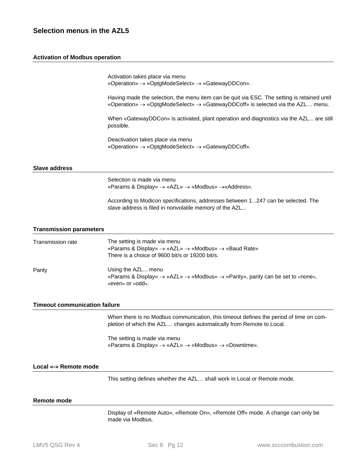## **Selection menus in the AZL5**

#### **Activation of Modbus operation**

Activation takes place via menu «Operation» «OptgModeSelect» «GatewayDDCon».

Having made the selection, the menu item can be quit via ESC. The setting is retained until «Operation»  $\rightarrow$  «OptgModeSelect»  $\rightarrow$  «GatewayDDCoff» is selected via the AZL... menu.

When «GatewayDDCon» is activated, plant operation and diagnostics via the AZL... are still possible.

Deactivation takes place via menu «Operation» «OptgModeSelect» «GatewayDDCoff».

#### **Slave address**

Selection is made via menu «Params & Display»  $\rightarrow$  «AZL»  $\rightarrow$  «Modbus»  $\rightarrow$  «Address».

According to Modicon specifications, addresses between 1...247 can be selected. The slave address is filed in nonvolatile memory of the AZL...

#### **Transmission parameters**

| Transmission rate | The setting is made via menu<br>«Params & Display» $\rightarrow$ «AZL» $\rightarrow$ «Modbus» $\rightarrow$ «Baud Rate»<br>There is a choice of 9600 bit/s or 19200 bit/s. |
|-------------------|----------------------------------------------------------------------------------------------------------------------------------------------------------------------------|
| Parity            | Using the AZL menu<br>«Params & Display» $\rightarrow$ «AZL» $\rightarrow$ «Modbus» $\rightarrow$ «Parity», parity can be set to «none»,<br>«even» or «odd».               |

#### **Timeout communication failure**

When there is no Modbus communication, this timeout defines the period of time on completion of which the AZL… changes automatically from Remote to Local.

The setting is made via menu «Params & Display»  $\rightarrow$  «AZL»  $\rightarrow$  «Modbus»  $\rightarrow$  «Downtime».

#### **Local «-» Remote mode**

This setting defines whether the AZL… shall work in Local or Remote mode.

#### **Remote mode**

Display of «Remote Auto», «Remote On», «Remote Off» mode. A change can only be made via Modbus.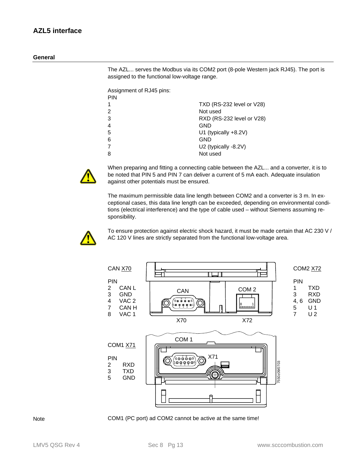The AZL... serves the Modbus via its COM2 port (8-pole Western jack RJ45). The port is assigned to the functional low-voltage range.

Assignment of RJ45 pins: PIN

| . |                           |
|---|---------------------------|
|   | TXD (RS-232 level or V28) |
| 2 | Not used                  |
| 3 | RXD (RS-232 level or V28) |
| 4 | GND                       |
| 5 | U1 (typically $+8.2V$ )   |
| 6 | <b>GND</b>                |
|   | U2 (typically -8.2V)      |
|   | Not used                  |
|   |                           |



When preparing and fitting a connecting cable between the AZL... and a converter, it is to be noted that PIN 5 and PIN 7 can deliver a current of 5 mA each. Adequate insulation against other potentials must be ensured.

The maximum permissible data line length between COM2 and a converter is 3 m. In exceptional cases, this data line length can be exceeded, depending on environmental conditions (electrical interference) and the type of cable used – without Siemens assuming responsibility.



To ensure protection against electric shock hazard, it must be made certain that AC 230 V / AC 120 V lines are strictly separated from the functional low-voltage area.



Note COM1 (PC port) ad COM2 cannot be active at the same time!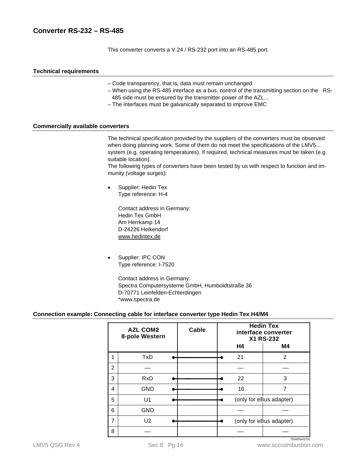## **Converter RS-232 – RS-485**

This converter converts a V.24 / RS-232 port into an RS-485 port.

#### **Technical requirements**

- Code transparency, that is, data must remain unchanged
- When using the RS-485 interface as a bus, control of the transmitting section on the RS-485 side must be ensured by the transmitter power of the AZL...
- The interfaces must be galvanically separated to improve EMC

#### **Commercially available converters**

The technical specification provided by the suppliers of the converters must be observed when doing planning work. Some of them do not meet the specifications of the LMV5... system (e.g. operating temperatures). If required, technical measures must be taken (e.g. suitable location).

The following types of converters have been tested by us with respect to function and immunity (voltage surges):

 Supplier: Hedin Tex Type reference: H-4

> Contact address in Germany: Hedin Tex GmbH Am Herrkamp 14 D-24226 Heikendorf www.hedintex.de

 Supplier: IPC CON Type reference: I-7520

> Contact address in Germany: Spectra Computersysteme GmbH, Humboldtstraße 36 D-70771 Leinfelden-Echterdingen \*www.spectra.de

#### **Connection example: Connecting cable for interface converter type Hedin Tex H4/M4**

|   | <b>AZL COM2</b><br>8-pole Western | Cable | <b>Hedin Tex</b><br>interface converter<br>X1 RS-232 |    |                         |
|---|-----------------------------------|-------|------------------------------------------------------|----|-------------------------|
|   |                                   |       |                                                      | H4 | M4                      |
|   | <b>TxD</b>                        |       |                                                      | 21 | 2                       |
| 2 |                                   |       |                                                      |    |                         |
| 3 | <b>RxD</b>                        |       |                                                      | 22 | 3                       |
| 4 | <b>GND</b>                        |       |                                                      | 16 | 7                       |
| 5 | U <sub>1</sub>                    |       |                                                      |    | (only for eBus adapter) |
| 6 | <b>GND</b>                        |       |                                                      |    |                         |
| 7 | U <sub>2</sub>                    |       |                                                      |    | (only for eBus adapter) |
| 8 |                                   |       |                                                      |    | 7550t05e/0703           |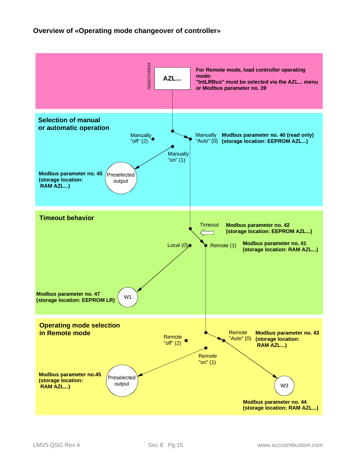## **Overview of «Operating mode changeover of controller»**